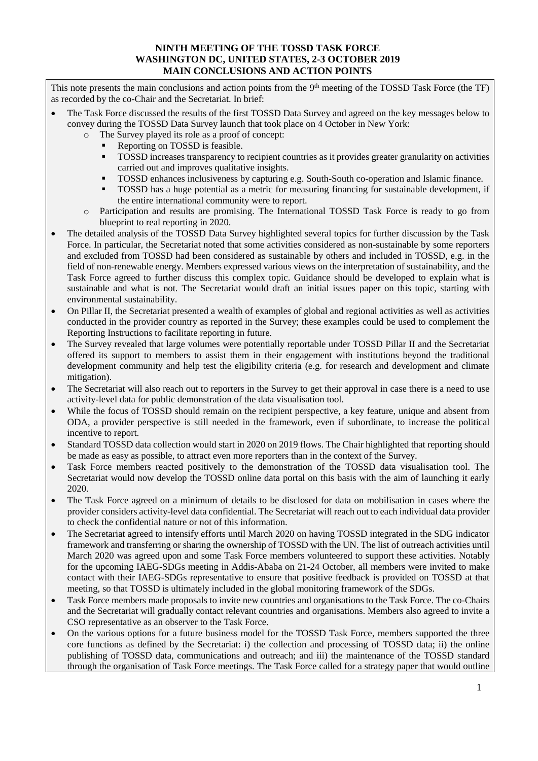#### **NINTH MEETING OF THE TOSSD TASK FORCE WASHINGTON DC, UNITED STATES, 2-3 OCTOBER 2019 MAIN CONCLUSIONS AND ACTION POINTS**

This note presents the main conclusions and action points from the 9<sup>th</sup> meeting of the TOSSD Task Force (the TF) as recorded by the co-Chair and the Secretariat. In brief:

- The Task Force discussed the results of the first TOSSD Data Survey and agreed on the key messages below to convey during the TOSSD Data Survey launch that took place on 4 October in New York:
	- o The Survey played its role as a proof of concept:
		- Reporting on TOSSD is feasible.
		- TOSSD increases transparency to recipient countries as it provides greater granularity on activities carried out and improves qualitative insights.
		- TOSSD enhances inclusiveness by capturing e.g. South-South co-operation and Islamic finance.
		- **TOSSD** has a huge potential as a metric for measuring financing for sustainable development, if the entire international community were to report.
	- o Participation and results are promising. The International TOSSD Task Force is ready to go from blueprint to real reporting in 2020.
- The detailed analysis of the TOSSD Data Survey highlighted several topics for further discussion by the Task Force. In particular, the Secretariat noted that some activities considered as non-sustainable by some reporters and excluded from TOSSD had been considered as sustainable by others and included in TOSSD, e.g. in the field of non-renewable energy. Members expressed various views on the interpretation of sustainability, and the Task Force agreed to further discuss this complex topic. Guidance should be developed to explain what is sustainable and what is not. The Secretariat would draft an initial issues paper on this topic, starting with environmental sustainability.
- On Pillar II, the Secretariat presented a wealth of examples of global and regional activities as well as activities conducted in the provider country as reported in the Survey; these examples could be used to complement the Reporting Instructions to facilitate reporting in future.
- The Survey revealed that large volumes were potentially reportable under TOSSD Pillar II and the Secretariat offered its support to members to assist them in their engagement with institutions beyond the traditional development community and help test the eligibility criteria (e.g. for research and development and climate mitigation).
- The Secretariat will also reach out to reporters in the Survey to get their approval in case there is a need to use activity-level data for public demonstration of the data visualisation tool.
- While the focus of TOSSD should remain on the recipient perspective, a key feature, unique and absent from ODA, a provider perspective is still needed in the framework, even if subordinate, to increase the political incentive to report.
- Standard TOSSD data collection would start in 2020 on 2019 flows. The Chair highlighted that reporting should be made as easy as possible, to attract even more reporters than in the context of the Survey.
- Task Force members reacted positively to the demonstration of the TOSSD data visualisation tool. The Secretariat would now develop the TOSSD online data portal on this basis with the aim of launching it early 2020.
- The Task Force agreed on a minimum of details to be disclosed for data on mobilisation in cases where the provider considers activity-level data confidential. The Secretariat will reach out to each individual data provider to check the confidential nature or not of this information.
- The Secretariat agreed to intensify efforts until March 2020 on having TOSSD integrated in the SDG indicator framework and transferring or sharing the ownership of TOSSD with the UN. The list of outreach activities until March 2020 was agreed upon and some Task Force members volunteered to support these activities. Notably for the upcoming IAEG-SDGs meeting in Addis-Ababa on 21-24 October, all members were invited to make contact with their IAEG-SDGs representative to ensure that positive feedback is provided on TOSSD at that meeting, so that TOSSD is ultimately included in the global monitoring framework of the SDGs.
- Task Force members made proposals to invite new countries and organisations to the Task Force. The co-Chairs and the Secretariat will gradually contact relevant countries and organisations. Members also agreed to invite a CSO representative as an observer to the Task Force.
- On the various options for a future business model for the TOSSD Task Force, members supported the three core functions as defined by the Secretariat: i) the collection and processing of TOSSD data; ii) the online publishing of TOSSD data, communications and outreach; and iii) the maintenance of the TOSSD standard through the organisation of Task Force meetings. The Task Force called for a strategy paper that would outline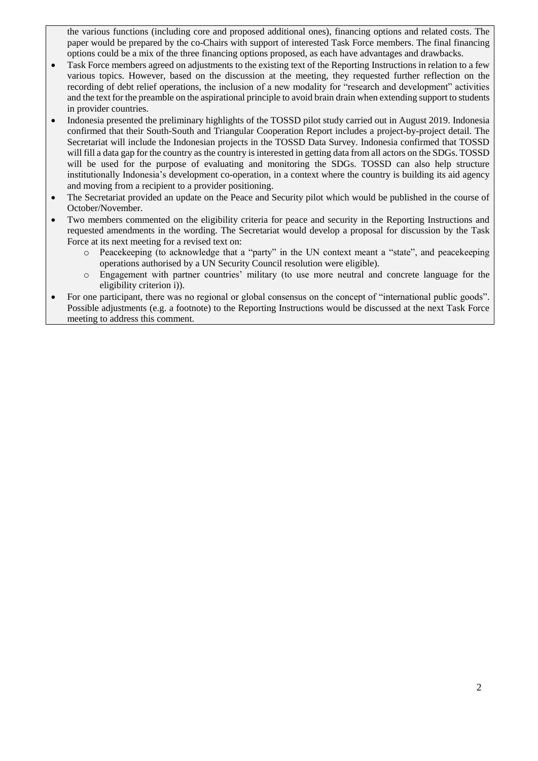the various functions (including core and proposed additional ones), financing options and related costs. The paper would be prepared by the co-Chairs with support of interested Task Force members. The final financing options could be a mix of the three financing options proposed, as each have advantages and drawbacks.

- Task Force members agreed on adjustments to the existing text of the Reporting Instructions in relation to a few various topics. However, based on the discussion at the meeting, they requested further reflection on the recording of debt relief operations, the inclusion of a new modality for "research and development" activities and the text for the preamble on the aspirational principle to avoid brain drain when extending support to students in provider countries.
- Indonesia presented the preliminary highlights of the TOSSD pilot study carried out in August 2019. Indonesia confirmed that their South-South and Triangular Cooperation Report includes a project-by-project detail. The Secretariat will include the Indonesian projects in the TOSSD Data Survey. Indonesia confirmed that TOSSD will fill a data gap for the country as the country is interested in getting data from all actors on the SDGs. TOSSD will be used for the purpose of evaluating and monitoring the SDGs. TOSSD can also help structure institutionally Indonesia's development co-operation, in a context where the country is building its aid agency and moving from a recipient to a provider positioning.
- The Secretariat provided an update on the Peace and Security pilot which would be published in the course of October/November.
- Two members commented on the eligibility criteria for peace and security in the Reporting Instructions and requested amendments in the wording. The Secretariat would develop a proposal for discussion by the Task Force at its next meeting for a revised text on:
	- o Peacekeeping (to acknowledge that a "party" in the UN context meant a "state", and peacekeeping operations authorised by a UN Security Council resolution were eligible).
	- o Engagement with partner countries' military (to use more neutral and concrete language for the eligibility criterion i)).
- For one participant, there was no regional or global consensus on the concept of "international public goods". Possible adjustments (e.g. a footnote) to the Reporting Instructions would be discussed at the next Task Force meeting to address this comment.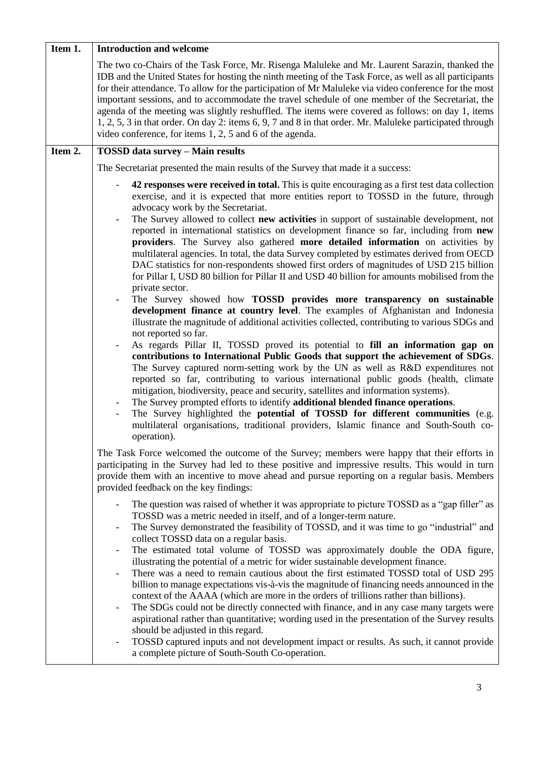| Item 1. | <b>Introduction and welcome</b>                                                                                                                                                                                                                                                                                                                                                                                                                                                                                                                                                                                                                                                                                                                                                                                                                                                                                                                                                                                                                                                                                                                                                                                                                                                                                                                                                                                                                                                                                                                                                                                                                                                                                                                                                                                                 |
|---------|---------------------------------------------------------------------------------------------------------------------------------------------------------------------------------------------------------------------------------------------------------------------------------------------------------------------------------------------------------------------------------------------------------------------------------------------------------------------------------------------------------------------------------------------------------------------------------------------------------------------------------------------------------------------------------------------------------------------------------------------------------------------------------------------------------------------------------------------------------------------------------------------------------------------------------------------------------------------------------------------------------------------------------------------------------------------------------------------------------------------------------------------------------------------------------------------------------------------------------------------------------------------------------------------------------------------------------------------------------------------------------------------------------------------------------------------------------------------------------------------------------------------------------------------------------------------------------------------------------------------------------------------------------------------------------------------------------------------------------------------------------------------------------------------------------------------------------|
|         | The two co-Chairs of the Task Force, Mr. Risenga Maluleke and Mr. Laurent Sarazin, thanked the<br>IDB and the United States for hosting the ninth meeting of the Task Force, as well as all participants<br>for their attendance. To allow for the participation of Mr Maluleke via video conference for the most<br>important sessions, and to accommodate the travel schedule of one member of the Secretariat, the<br>agenda of the meeting was slightly reshuffled. The items were covered as follows: on day 1, items<br>1, 2, 5, 3 in that order. On day 2: items 6, 9, 7 and 8 in that order. Mr. Maluleke participated through<br>video conference, for items 1, 2, 5 and 6 of the agenda.                                                                                                                                                                                                                                                                                                                                                                                                                                                                                                                                                                                                                                                                                                                                                                                                                                                                                                                                                                                                                                                                                                                              |
| Item 2. | <b>TOSSD data survey - Main results</b>                                                                                                                                                                                                                                                                                                                                                                                                                                                                                                                                                                                                                                                                                                                                                                                                                                                                                                                                                                                                                                                                                                                                                                                                                                                                                                                                                                                                                                                                                                                                                                                                                                                                                                                                                                                         |
|         | The Secretariat presented the main results of the Survey that made it a success:                                                                                                                                                                                                                                                                                                                                                                                                                                                                                                                                                                                                                                                                                                                                                                                                                                                                                                                                                                                                                                                                                                                                                                                                                                                                                                                                                                                                                                                                                                                                                                                                                                                                                                                                                |
|         | 42 responses were received in total. This is quite encouraging as a first test data collection<br>exercise, and it is expected that more entities report to TOSSD in the future, through<br>advocacy work by the Secretariat.<br>The Survey allowed to collect new activities in support of sustainable development, not<br>reported in international statistics on development finance so far, including from new<br>providers. The Survey also gathered more detailed information on activities by<br>multilateral agencies. In total, the data Survey completed by estimates derived from OECD<br>DAC statistics for non-respondents showed first orders of magnitudes of USD 215 billion<br>for Pillar I, USD 80 billion for Pillar II and USD 40 billion for amounts mobilised from the<br>private sector.<br>The Survey showed how TOSSD provides more transparency on sustainable<br>development finance at country level. The examples of Afghanistan and Indonesia<br>illustrate the magnitude of additional activities collected, contributing to various SDGs and<br>not reported so far.<br>As regards Pillar II, TOSSD proved its potential to fill an information gap on<br>contributions to International Public Goods that support the achievement of SDGs.<br>The Survey captured norm-setting work by the UN as well as R&D expenditures not<br>reported so far, contributing to various international public goods (health, climate<br>mitigation, biodiversity, peace and security, satellites and information systems).<br>The Survey prompted efforts to identify additional blended finance operations.<br>The Survey highlighted the <b>potential of TOSSD for different communities</b> (e.g.<br>multilateral organisations, traditional providers, Islamic finance and South-South co-<br>operation). |
|         | The Task Force welcomed the outcome of the Survey; members were happy that their efforts in<br>participating in the Survey had led to these positive and impressive results. This would in turn<br>provide them with an incentive to move ahead and pursue reporting on a regular basis. Members<br>provided feedback on the key findings:<br>The question was raised of whether it was appropriate to picture TOSSD as a "gap filler" as<br>TOSSD was a metric needed in itself, and of a longer-term nature.<br>The Survey demonstrated the feasibility of TOSSD, and it was time to go "industrial" and<br>collect TOSSD data on a regular basis.<br>The estimated total volume of TOSSD was approximately double the ODA figure,<br>$\qquad \qquad -$<br>illustrating the potential of a metric for wider sustainable development finance.<br>There was a need to remain cautious about the first estimated TOSSD total of USD 295<br>billion to manage expectations vis-à-vis the magnitude of financing needs announced in the<br>context of the AAAA (which are more in the orders of trillions rather than billions).<br>The SDGs could not be directly connected with finance, and in any case many targets were<br>aspirational rather than quantitative; wording used in the presentation of the Survey results<br>should be adjusted in this regard.<br>TOSSD captured inputs and not development impact or results. As such, it cannot provide<br>a complete picture of South-South Co-operation.                                                                                                                                                                                                                                                                                                                  |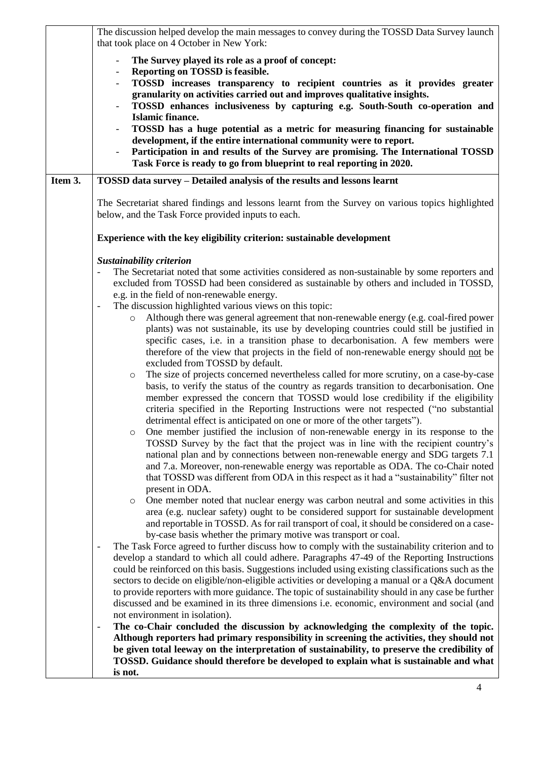|         | The discussion helped develop the main messages to convey during the TOSSD Data Survey launch<br>that took place on 4 October in New York:                                                                                                                                                                                                                                                                                                                                                                                                                                                                                                                                                                                                                                                                                                                                                                                                                                                                                                                                                                                                                                                                                                                                                                                                                                                                                                                                                                                                                                                                                                                                                                                                                                                                                                                                                                                                                                                                                                                                                                                                                                       |
|---------|----------------------------------------------------------------------------------------------------------------------------------------------------------------------------------------------------------------------------------------------------------------------------------------------------------------------------------------------------------------------------------------------------------------------------------------------------------------------------------------------------------------------------------------------------------------------------------------------------------------------------------------------------------------------------------------------------------------------------------------------------------------------------------------------------------------------------------------------------------------------------------------------------------------------------------------------------------------------------------------------------------------------------------------------------------------------------------------------------------------------------------------------------------------------------------------------------------------------------------------------------------------------------------------------------------------------------------------------------------------------------------------------------------------------------------------------------------------------------------------------------------------------------------------------------------------------------------------------------------------------------------------------------------------------------------------------------------------------------------------------------------------------------------------------------------------------------------------------------------------------------------------------------------------------------------------------------------------------------------------------------------------------------------------------------------------------------------------------------------------------------------------------------------------------------------|
|         | The Survey played its role as a proof of concept:<br>Reporting on TOSSD is feasible.<br>TOSSD increases transparency to recipient countries as it provides greater<br>granularity on activities carried out and improves qualitative insights.<br>TOSSD enhances inclusiveness by capturing e.g. South-South co-operation and<br><b>Islamic finance.</b><br>TOSSD has a huge potential as a metric for measuring financing for sustainable<br>development, if the entire international community were to report.<br>Participation in and results of the Survey are promising. The International TOSSD<br>Task Force is ready to go from blueprint to real reporting in 2020.                                                                                                                                                                                                                                                                                                                                                                                                                                                                                                                                                                                                                                                                                                                                                                                                                                                                                                                                                                                                                                                                                                                                                                                                                                                                                                                                                                                                                                                                                                     |
| Item 3. | TOSSD data survey - Detailed analysis of the results and lessons learnt                                                                                                                                                                                                                                                                                                                                                                                                                                                                                                                                                                                                                                                                                                                                                                                                                                                                                                                                                                                                                                                                                                                                                                                                                                                                                                                                                                                                                                                                                                                                                                                                                                                                                                                                                                                                                                                                                                                                                                                                                                                                                                          |
|         | The Secretariat shared findings and lessons learnt from the Survey on various topics highlighted<br>below, and the Task Force provided inputs to each.                                                                                                                                                                                                                                                                                                                                                                                                                                                                                                                                                                                                                                                                                                                                                                                                                                                                                                                                                                                                                                                                                                                                                                                                                                                                                                                                                                                                                                                                                                                                                                                                                                                                                                                                                                                                                                                                                                                                                                                                                           |
|         | Experience with the key eligibility criterion: sustainable development                                                                                                                                                                                                                                                                                                                                                                                                                                                                                                                                                                                                                                                                                                                                                                                                                                                                                                                                                                                                                                                                                                                                                                                                                                                                                                                                                                                                                                                                                                                                                                                                                                                                                                                                                                                                                                                                                                                                                                                                                                                                                                           |
|         | Sustainability criterion<br>The Secretariat noted that some activities considered as non-sustainable by some reporters and<br>excluded from TOSSD had been considered as sustainable by others and included in TOSSD,<br>e.g. in the field of non-renewable energy.<br>The discussion highlighted various views on this topic:<br>$\overline{\phantom{a}}$<br>Although there was general agreement that non-renewable energy (e.g. coal-fired power<br>$\circ$<br>plants) was not sustainable, its use by developing countries could still be justified in<br>specific cases, i.e. in a transition phase to decarbonisation. A few members were<br>therefore of the view that projects in the field of non-renewable energy should not be<br>excluded from TOSSD by default.<br>The size of projects concerned nevertheless called for more scrutiny, on a case-by-case<br>$\circ$<br>basis, to verify the status of the country as regards transition to decarbonisation. One<br>member expressed the concern that TOSSD would lose credibility if the eligibility<br>criteria specified in the Reporting Instructions were not respected ("no substantial<br>detrimental effect is anticipated on one or more of the other targets").<br>One member justified the inclusion of non-renewable energy in its response to the<br>$\circ$<br>TOSSD Survey by the fact that the project was in line with the recipient country's<br>national plan and by connections between non-renewable energy and SDG targets 7.1<br>and 7.a. Moreover, non-renewable energy was reportable as ODA. The co-Chair noted<br>that TOSSD was different from ODA in this respect as it had a "sustainability" filter not<br>present in ODA.<br>One member noted that nuclear energy was carbon neutral and some activities in this<br>O<br>area (e.g. nuclear safety) ought to be considered support for sustainable development<br>and reportable in TOSSD. As for rail transport of coal, it should be considered on a case-<br>by-case basis whether the primary motive was transport or coal.<br>The Task Force agreed to further discuss how to comply with the sustainability criterion and to |
|         | develop a standard to which all could adhere. Paragraphs 47-49 of the Reporting Instructions<br>could be reinforced on this basis. Suggestions included using existing classifications such as the<br>sectors to decide on eligible/non-eligible activities or developing a manual or a Q&A document<br>to provide reporters with more guidance. The topic of sustainability should in any case be further<br>discussed and be examined in its three dimensions i.e. economic, environment and social (and<br>not environment in isolation).                                                                                                                                                                                                                                                                                                                                                                                                                                                                                                                                                                                                                                                                                                                                                                                                                                                                                                                                                                                                                                                                                                                                                                                                                                                                                                                                                                                                                                                                                                                                                                                                                                     |
|         | The co-Chair concluded the discussion by acknowledging the complexity of the topic.<br>$\overline{\phantom{a}}$<br>Although reporters had primary responsibility in screening the activities, they should not<br>be given total leeway on the interpretation of sustainability, to preserve the credibility of<br>TOSSD. Guidance should therefore be developed to explain what is sustainable and what<br>is not.                                                                                                                                                                                                                                                                                                                                                                                                                                                                                                                                                                                                                                                                                                                                                                                                                                                                                                                                                                                                                                                                                                                                                                                                                                                                                                                                                                                                                                                                                                                                                                                                                                                                                                                                                               |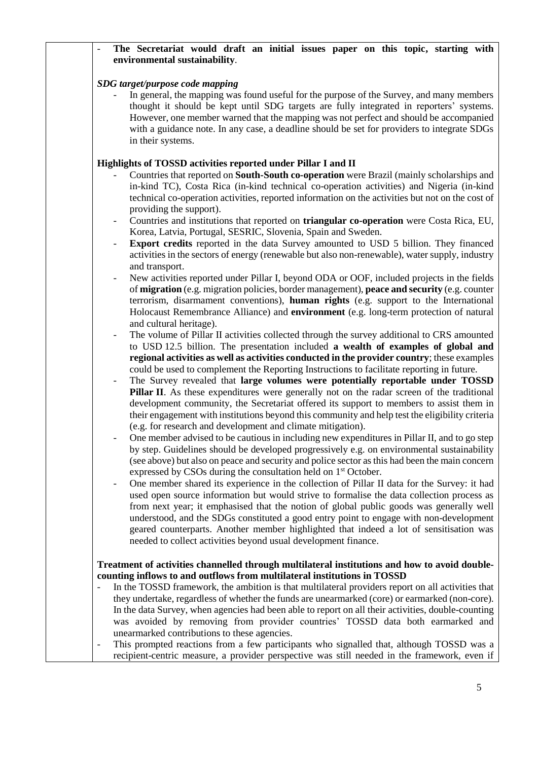# The Secretariat would draft an initial issues paper on this topic, starting with **environmental sustainability**.

# *SDG target/purpose code mapping*

- In general, the mapping was found useful for the purpose of the Survey, and many members thought it should be kept until SDG targets are fully integrated in reporters' systems. However, one member warned that the mapping was not perfect and should be accompanied with a guidance note. In any case, a deadline should be set for providers to integrate SDGs in their systems.

# **Highlights of TOSSD activities reported under Pillar I and II**

- Countries that reported on **South-South co-operation** were Brazil (mainly scholarships and in-kind TC), Costa Rica (in-kind technical co-operation activities) and Nigeria (in-kind technical co-operation activities, reported information on the activities but not on the cost of providing the support).
- Countries and institutions that reported on **triangular co-operation** were Costa Rica, EU, Korea, Latvia, Portugal, SESRIC, Slovenia, Spain and Sweden.
- **Export credits** reported in the data Survey amounted to USD 5 billion. They financed activities in the sectors of energy (renewable but also non-renewable), water supply, industry and transport.
- New activities reported under Pillar I, beyond ODA or OOF, included projects in the fields of **migration** (e.g. migration policies, border management), **peace and security** (e.g. counter terrorism, disarmament conventions), **human rights** (e.g. support to the International Holocaust Remembrance Alliance) and **environment** (e.g. long-term protection of natural and cultural heritage).
- The volume of Pillar II activities collected through the survey additional to CRS amounted to USD 12.5 billion. The presentation included **a wealth of examples of global and regional activities as well as activities conducted in the provider country**; these examples could be used to complement the Reporting Instructions to facilitate reporting in future.
- The Survey revealed that **large volumes were potentially reportable under TOSSD Pillar II**. As these expenditures were generally not on the radar screen of the traditional development community, the Secretariat offered its support to members to assist them in their engagement with institutions beyond this community and help test the eligibility criteria (e.g. for research and development and climate mitigation).
- One member advised to be cautious in including new expenditures in Pillar II, and to go step by step. Guidelines should be developed progressively e.g. on environmental sustainability (see above) but also on peace and security and police sector as this had been the main concern expressed by CSOs during the consultation held on 1<sup>st</sup> October.
- One member shared its experience in the collection of Pillar II data for the Survey: it had used open source information but would strive to formalise the data collection process as from next year; it emphasised that the notion of global public goods was generally well understood, and the SDGs constituted a good entry point to engage with non-development geared counterparts. Another member highlighted that indeed a lot of sensitisation was needed to collect activities beyond usual development finance.

# **Treatment of activities channelled through multilateral institutions and how to avoid doublecounting inflows to and outflows from multilateral institutions in TOSSD**

- In the TOSSD framework, the ambition is that multilateral providers report on all activities that they undertake, regardless of whether the funds are unearmarked (core) or earmarked (non-core). In the data Survey, when agencies had been able to report on all their activities, double-counting was avoided by removing from provider countries' TOSSD data both earmarked and unearmarked contributions to these agencies.
- This prompted reactions from a few participants who signalled that, although TOSSD was a recipient-centric measure, a provider perspective was still needed in the framework, even if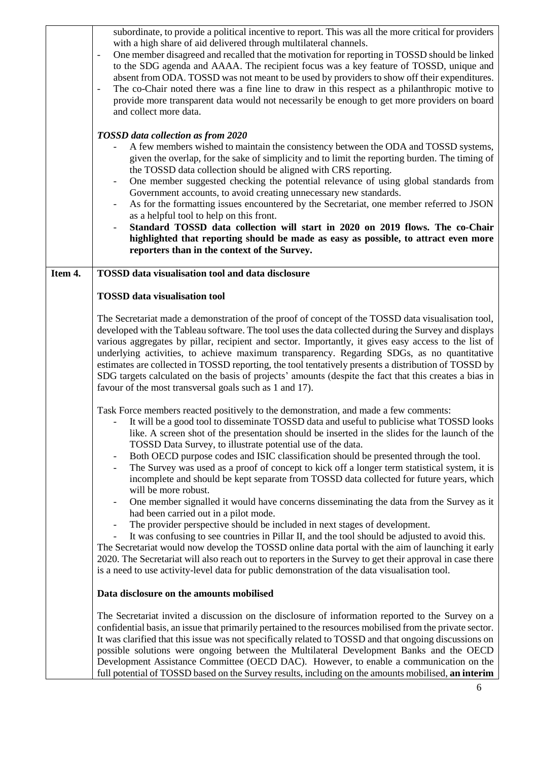|         | subordinate, to provide a political incentive to report. This was all the more critical for providers<br>with a high share of aid delivered through multilateral channels.<br>One member disagreed and recalled that the motivation for reporting in TOSSD should be linked<br>$\blacksquare$<br>to the SDG agenda and AAAA. The recipient focus was a key feature of TOSSD, unique and<br>absent from ODA. TOSSD was not meant to be used by providers to show off their expenditures.<br>The co-Chair noted there was a fine line to draw in this respect as a philanthropic motive to<br>provide more transparent data would not necessarily be enough to get more providers on board<br>and collect more data.<br>TOSSD data collection as from 2020<br>A few members wished to maintain the consistency between the ODA and TOSSD systems,<br>given the overlap, for the sake of simplicity and to limit the reporting burden. The timing of<br>the TOSSD data collection should be aligned with CRS reporting.<br>One member suggested checking the potential relevance of using global standards from<br>$\overline{\phantom{a}}$                                                                                           |
|---------|------------------------------------------------------------------------------------------------------------------------------------------------------------------------------------------------------------------------------------------------------------------------------------------------------------------------------------------------------------------------------------------------------------------------------------------------------------------------------------------------------------------------------------------------------------------------------------------------------------------------------------------------------------------------------------------------------------------------------------------------------------------------------------------------------------------------------------------------------------------------------------------------------------------------------------------------------------------------------------------------------------------------------------------------------------------------------------------------------------------------------------------------------------------------------------------------------------------------------------|
|         | Government accounts, to avoid creating unnecessary new standards.<br>As for the formatting issues encountered by the Secretariat, one member referred to JSON<br>as a helpful tool to help on this front.<br>Standard TOSSD data collection will start in 2020 on 2019 flows. The co-Chair<br>highlighted that reporting should be made as easy as possible, to attract even more<br>reporters than in the context of the Survey.                                                                                                                                                                                                                                                                                                                                                                                                                                                                                                                                                                                                                                                                                                                                                                                                  |
|         |                                                                                                                                                                                                                                                                                                                                                                                                                                                                                                                                                                                                                                                                                                                                                                                                                                                                                                                                                                                                                                                                                                                                                                                                                                    |
| Item 4. | TOSSD data visualisation tool and data disclosure                                                                                                                                                                                                                                                                                                                                                                                                                                                                                                                                                                                                                                                                                                                                                                                                                                                                                                                                                                                                                                                                                                                                                                                  |
|         | <b>TOSSD</b> data visualisation tool                                                                                                                                                                                                                                                                                                                                                                                                                                                                                                                                                                                                                                                                                                                                                                                                                                                                                                                                                                                                                                                                                                                                                                                               |
|         | The Secretariat made a demonstration of the proof of concept of the TOSSD data visualisation tool,<br>developed with the Tableau software. The tool uses the data collected during the Survey and displays<br>various aggregates by pillar, recipient and sector. Importantly, it gives easy access to the list of<br>underlying activities, to achieve maximum transparency. Regarding SDGs, as no quantitative<br>estimates are collected in TOSSD reporting, the tool tentatively presents a distribution of TOSSD by<br>SDG targets calculated on the basis of projects' amounts (despite the fact that this creates a bias in<br>favour of the most transversal goals such as 1 and 17).                                                                                                                                                                                                                                                                                                                                                                                                                                                                                                                                      |
|         | Task Force members reacted positively to the demonstration, and made a few comments:<br>It will be a good tool to disseminate TOSSD data and useful to publicise what TOSSD looks<br>like. A screen shot of the presentation should be inserted in the slides for the launch of the<br>TOSSD Data Survey, to illustrate potential use of the data.<br>Both OECD purpose codes and ISIC classification should be presented through the tool.<br>$\overline{\phantom{a}}$<br>The Survey was used as a proof of concept to kick off a longer term statistical system, it is<br>incomplete and should be kept separate from TOSSD data collected for future years, which<br>will be more robust.<br>One member signalled it would have concerns disseminating the data from the Survey as it<br>had been carried out in a pilot mode.<br>The provider perspective should be included in next stages of development.<br>It was confusing to see countries in Pillar II, and the tool should be adjusted to avoid this.<br>The Secretariat would now develop the TOSSD online data portal with the aim of launching it early<br>2020. The Secretariat will also reach out to reporters in the Survey to get their approval in case there |
|         | is a need to use activity-level data for public demonstration of the data visualisation tool.                                                                                                                                                                                                                                                                                                                                                                                                                                                                                                                                                                                                                                                                                                                                                                                                                                                                                                                                                                                                                                                                                                                                      |
|         | Data disclosure on the amounts mobilised                                                                                                                                                                                                                                                                                                                                                                                                                                                                                                                                                                                                                                                                                                                                                                                                                                                                                                                                                                                                                                                                                                                                                                                           |
|         | The Secretariat invited a discussion on the disclosure of information reported to the Survey on a<br>confidential basis, an issue that primarily pertained to the resources mobilised from the private sector.<br>It was clarified that this issue was not specifically related to TOSSD and that ongoing discussions on<br>possible solutions were ongoing between the Multilateral Development Banks and the OECD<br>Development Assistance Committee (OECD DAC). However, to enable a communication on the<br>full potential of TOSSD based on the Survey results, including on the amounts mobilised, an interim                                                                                                                                                                                                                                                                                                                                                                                                                                                                                                                                                                                                               |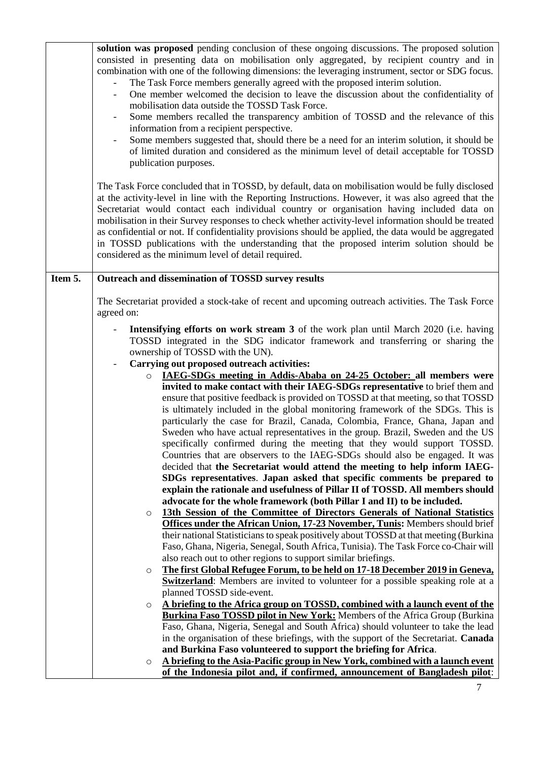|         | solution was proposed pending conclusion of these ongoing discussions. The proposed solution<br>consisted in presenting data on mobilisation only aggregated, by recipient country and in<br>combination with one of the following dimensions: the leveraging instrument, sector or SDG focus.<br>The Task Force members generally agreed with the proposed interim solution.<br>One member welcomed the decision to leave the discussion about the confidentiality of<br>mobilisation data outside the TOSSD Task Force.<br>Some members recalled the transparency ambition of TOSSD and the relevance of this<br>information from a recipient perspective.<br>Some members suggested that, should there be a need for an interim solution, it should be<br>of limited duration and considered as the minimum level of detail acceptable for TOSSD<br>publication purposes.<br>The Task Force concluded that in TOSSD, by default, data on mobilisation would be fully disclosed<br>at the activity-level in line with the Reporting Instructions. However, it was also agreed that the<br>Secretariat would contact each individual country or organisation having included data on<br>mobilisation in their Survey responses to check whether activity-level information should be treated<br>as confidential or not. If confidentiality provisions should be applied, the data would be aggregated<br>in TOSSD publications with the understanding that the proposed interim solution should be<br>considered as the minimum level of detail required. |
|---------|------------------------------------------------------------------------------------------------------------------------------------------------------------------------------------------------------------------------------------------------------------------------------------------------------------------------------------------------------------------------------------------------------------------------------------------------------------------------------------------------------------------------------------------------------------------------------------------------------------------------------------------------------------------------------------------------------------------------------------------------------------------------------------------------------------------------------------------------------------------------------------------------------------------------------------------------------------------------------------------------------------------------------------------------------------------------------------------------------------------------------------------------------------------------------------------------------------------------------------------------------------------------------------------------------------------------------------------------------------------------------------------------------------------------------------------------------------------------------------------------------------------------------------------------------------|
| Item 5. | Outreach and dissemination of TOSSD survey results                                                                                                                                                                                                                                                                                                                                                                                                                                                                                                                                                                                                                                                                                                                                                                                                                                                                                                                                                                                                                                                                                                                                                                                                                                                                                                                                                                                                                                                                                                         |
|         | The Secretariat provided a stock-take of recent and upcoming outreach activities. The Task Force                                                                                                                                                                                                                                                                                                                                                                                                                                                                                                                                                                                                                                                                                                                                                                                                                                                                                                                                                                                                                                                                                                                                                                                                                                                                                                                                                                                                                                                           |
|         | agreed on:                                                                                                                                                                                                                                                                                                                                                                                                                                                                                                                                                                                                                                                                                                                                                                                                                                                                                                                                                                                                                                                                                                                                                                                                                                                                                                                                                                                                                                                                                                                                                 |
|         | Intensifying efforts on work stream 3 of the work plan until March 2020 (i.e. having<br>TOSSD integrated in the SDG indicator framework and transferring or sharing the<br>ownership of TOSSD with the UN).                                                                                                                                                                                                                                                                                                                                                                                                                                                                                                                                                                                                                                                                                                                                                                                                                                                                                                                                                                                                                                                                                                                                                                                                                                                                                                                                                |
|         | Carrying out proposed outreach activities:<br>IAEG-SDGs meeting in Addis-Ababa on 24-25 October: all members were<br>$\circ$                                                                                                                                                                                                                                                                                                                                                                                                                                                                                                                                                                                                                                                                                                                                                                                                                                                                                                                                                                                                                                                                                                                                                                                                                                                                                                                                                                                                                               |
|         | invited to make contact with their IAEG-SDGs representative to brief them and                                                                                                                                                                                                                                                                                                                                                                                                                                                                                                                                                                                                                                                                                                                                                                                                                                                                                                                                                                                                                                                                                                                                                                                                                                                                                                                                                                                                                                                                              |
|         | ensure that positive feedback is provided on TOSSD at that meeting, so that TOSSD                                                                                                                                                                                                                                                                                                                                                                                                                                                                                                                                                                                                                                                                                                                                                                                                                                                                                                                                                                                                                                                                                                                                                                                                                                                                                                                                                                                                                                                                          |
|         | is ultimately included in the global monitoring framework of the SDGs. This is<br>particularly the case for Brazil, Canada, Colombia, France, Ghana, Japan and                                                                                                                                                                                                                                                                                                                                                                                                                                                                                                                                                                                                                                                                                                                                                                                                                                                                                                                                                                                                                                                                                                                                                                                                                                                                                                                                                                                             |
|         | Sweden who have actual representatives in the group. Brazil, Sweden and the US                                                                                                                                                                                                                                                                                                                                                                                                                                                                                                                                                                                                                                                                                                                                                                                                                                                                                                                                                                                                                                                                                                                                                                                                                                                                                                                                                                                                                                                                             |
|         | specifically confirmed during the meeting that they would support TOSSD.                                                                                                                                                                                                                                                                                                                                                                                                                                                                                                                                                                                                                                                                                                                                                                                                                                                                                                                                                                                                                                                                                                                                                                                                                                                                                                                                                                                                                                                                                   |
|         | Countries that are observers to the IAEG-SDGs should also be engaged. It was                                                                                                                                                                                                                                                                                                                                                                                                                                                                                                                                                                                                                                                                                                                                                                                                                                                                                                                                                                                                                                                                                                                                                                                                                                                                                                                                                                                                                                                                               |
|         | decided that the Secretariat would attend the meeting to help inform IAEG-<br>SDGs representatives. Japan asked that specific comments be prepared to                                                                                                                                                                                                                                                                                                                                                                                                                                                                                                                                                                                                                                                                                                                                                                                                                                                                                                                                                                                                                                                                                                                                                                                                                                                                                                                                                                                                      |
|         | explain the rationale and usefulness of Pillar II of TOSSD. All members should                                                                                                                                                                                                                                                                                                                                                                                                                                                                                                                                                                                                                                                                                                                                                                                                                                                                                                                                                                                                                                                                                                                                                                                                                                                                                                                                                                                                                                                                             |
|         | advocate for the whole framework (both Pillar I and II) to be included.                                                                                                                                                                                                                                                                                                                                                                                                                                                                                                                                                                                                                                                                                                                                                                                                                                                                                                                                                                                                                                                                                                                                                                                                                                                                                                                                                                                                                                                                                    |
|         | 13th Session of the Committee of Directors Generals of National Statistics<br>$\circ$                                                                                                                                                                                                                                                                                                                                                                                                                                                                                                                                                                                                                                                                                                                                                                                                                                                                                                                                                                                                                                                                                                                                                                                                                                                                                                                                                                                                                                                                      |
|         | Offices under the African Union, 17-23 November, Tunis: Members should brief<br>their national Statisticians to speak positively about TOSSD at that meeting (Burkina                                                                                                                                                                                                                                                                                                                                                                                                                                                                                                                                                                                                                                                                                                                                                                                                                                                                                                                                                                                                                                                                                                                                                                                                                                                                                                                                                                                      |
|         | Faso, Ghana, Nigeria, Senegal, South Africa, Tunisia). The Task Force co-Chair will                                                                                                                                                                                                                                                                                                                                                                                                                                                                                                                                                                                                                                                                                                                                                                                                                                                                                                                                                                                                                                                                                                                                                                                                                                                                                                                                                                                                                                                                        |
|         | also reach out to other regions to support similar briefings.                                                                                                                                                                                                                                                                                                                                                                                                                                                                                                                                                                                                                                                                                                                                                                                                                                                                                                                                                                                                                                                                                                                                                                                                                                                                                                                                                                                                                                                                                              |
|         | The first Global Refugee Forum, to be held on 17-18 December 2019 in Geneva,<br>$\circ$<br><b>Switzerland:</b> Members are invited to volunteer for a possible speaking role at a                                                                                                                                                                                                                                                                                                                                                                                                                                                                                                                                                                                                                                                                                                                                                                                                                                                                                                                                                                                                                                                                                                                                                                                                                                                                                                                                                                          |
|         | planned TOSSD side-event.                                                                                                                                                                                                                                                                                                                                                                                                                                                                                                                                                                                                                                                                                                                                                                                                                                                                                                                                                                                                                                                                                                                                                                                                                                                                                                                                                                                                                                                                                                                                  |
|         | A briefing to the Africa group on TOSSD, combined with a launch event of the<br>$\circ$                                                                                                                                                                                                                                                                                                                                                                                                                                                                                                                                                                                                                                                                                                                                                                                                                                                                                                                                                                                                                                                                                                                                                                                                                                                                                                                                                                                                                                                                    |
|         | Burkina Faso TOSSD pilot in New York: Members of the Africa Group (Burkina                                                                                                                                                                                                                                                                                                                                                                                                                                                                                                                                                                                                                                                                                                                                                                                                                                                                                                                                                                                                                                                                                                                                                                                                                                                                                                                                                                                                                                                                                 |
|         | Faso, Ghana, Nigeria, Senegal and South Africa) should volunteer to take the lead<br>in the organisation of these briefings, with the support of the Secretariat. Canada                                                                                                                                                                                                                                                                                                                                                                                                                                                                                                                                                                                                                                                                                                                                                                                                                                                                                                                                                                                                                                                                                                                                                                                                                                                                                                                                                                                   |
|         | and Burkina Faso volunteered to support the briefing for Africa.                                                                                                                                                                                                                                                                                                                                                                                                                                                                                                                                                                                                                                                                                                                                                                                                                                                                                                                                                                                                                                                                                                                                                                                                                                                                                                                                                                                                                                                                                           |
|         | A briefing to the Asia-Pacific group in New York, combined with a launch event<br>$\circ$                                                                                                                                                                                                                                                                                                                                                                                                                                                                                                                                                                                                                                                                                                                                                                                                                                                                                                                                                                                                                                                                                                                                                                                                                                                                                                                                                                                                                                                                  |
|         | of the Indonesia pilot and, if confirmed, announcement of Bangladesh pilot:                                                                                                                                                                                                                                                                                                                                                                                                                                                                                                                                                                                                                                                                                                                                                                                                                                                                                                                                                                                                                                                                                                                                                                                                                                                                                                                                                                                                                                                                                |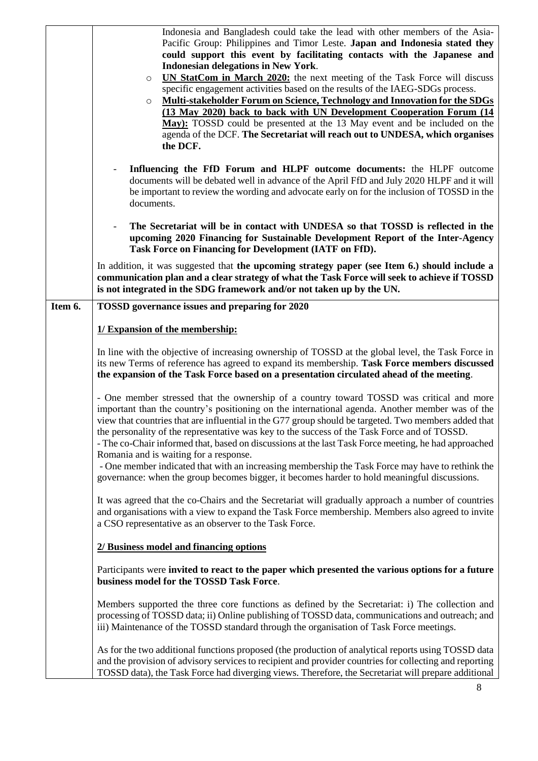|         | Indonesia and Bangladesh could take the lead with other members of the Asia-<br>Pacific Group: Philippines and Timor Leste. Japan and Indonesia stated they<br>could support this event by facilitating contacts with the Japanese and<br><b>Indonesian delegations in New York.</b><br>UN StatCom in March 2020: the next meeting of the Task Force will discuss<br>$\circ$<br>specific engagement activities based on the results of the IAEG-SDGs process.<br>Multi-stakeholder Forum on Science, Technology and Innovation for the SDGs<br>$\circ$<br>(13 May 2020) back to back with UN Development Cooperation Forum (14<br>May): TOSSD could be presented at the 13 May event and be included on the<br>agenda of the DCF. The Secretariat will reach out to UNDESA, which organises<br>the DCF. |
|---------|---------------------------------------------------------------------------------------------------------------------------------------------------------------------------------------------------------------------------------------------------------------------------------------------------------------------------------------------------------------------------------------------------------------------------------------------------------------------------------------------------------------------------------------------------------------------------------------------------------------------------------------------------------------------------------------------------------------------------------------------------------------------------------------------------------|
|         | Influencing the FfD Forum and HLPF outcome documents: the HLPF outcome<br>$\overline{\phantom{a}}$<br>documents will be debated well in advance of the April FfD and July 2020 HLPF and it will<br>be important to review the wording and advocate early on for the inclusion of TOSSD in the<br>documents.                                                                                                                                                                                                                                                                                                                                                                                                                                                                                             |
|         | The Secretariat will be in contact with UNDESA so that TOSSD is reflected in the<br>upcoming 2020 Financing for Sustainable Development Report of the Inter-Agency<br>Task Force on Financing for Development (IATF on FfD).                                                                                                                                                                                                                                                                                                                                                                                                                                                                                                                                                                            |
|         | In addition, it was suggested that the upcoming strategy paper (see Item 6.) should include a<br>communication plan and a clear strategy of what the Task Force will seek to achieve if TOSSD<br>is not integrated in the SDG framework and/or not taken up by the UN.                                                                                                                                                                                                                                                                                                                                                                                                                                                                                                                                  |
| Item 6. | TOSSD governance issues and preparing for 2020                                                                                                                                                                                                                                                                                                                                                                                                                                                                                                                                                                                                                                                                                                                                                          |
|         | 1/ Expansion of the membership:                                                                                                                                                                                                                                                                                                                                                                                                                                                                                                                                                                                                                                                                                                                                                                         |
|         | In line with the objective of increasing ownership of TOSSD at the global level, the Task Force in<br>its new Terms of reference has agreed to expand its membership. Task Force members discussed<br>the expansion of the Task Force based on a presentation circulated ahead of the meeting.                                                                                                                                                                                                                                                                                                                                                                                                                                                                                                          |
|         | - One member stressed that the ownership of a country toward TOSSD was critical and more<br>important than the country's positioning on the international agenda. Another member was of the<br>view that countries that are influential in the G77 group should be targeted. Two members added that<br>the personality of the representative was key to the success of the Task Force and of TOSSD.<br>- The co-Chair informed that, based on discussions at the last Task Force meeting, he had approached<br>Romania and is waiting for a response.<br>- One member indicated that with an increasing membership the Task Force may have to rethink the                                                                                                                                               |
|         | governance: when the group becomes bigger, it becomes harder to hold meaningful discussions.                                                                                                                                                                                                                                                                                                                                                                                                                                                                                                                                                                                                                                                                                                            |
|         | It was agreed that the co-Chairs and the Secretariat will gradually approach a number of countries<br>and organisations with a view to expand the Task Force membership. Members also agreed to invite<br>a CSO representative as an observer to the Task Force.                                                                                                                                                                                                                                                                                                                                                                                                                                                                                                                                        |
|         | 2/ Business model and financing options                                                                                                                                                                                                                                                                                                                                                                                                                                                                                                                                                                                                                                                                                                                                                                 |
|         | Participants were invited to react to the paper which presented the various options for a future<br>business model for the TOSSD Task Force.                                                                                                                                                                                                                                                                                                                                                                                                                                                                                                                                                                                                                                                            |
|         | Members supported the three core functions as defined by the Secretariat: i) The collection and<br>processing of TOSSD data; ii) Online publishing of TOSSD data, communications and outreach; and<br>iii) Maintenance of the TOSSD standard through the organisation of Task Force meetings.                                                                                                                                                                                                                                                                                                                                                                                                                                                                                                           |
|         | As for the two additional functions proposed (the production of analytical reports using TOSSD data<br>and the provision of advisory services to recipient and provider countries for collecting and reporting<br>TOSSD data), the Task Force had diverging views. Therefore, the Secretariat will prepare additional                                                                                                                                                                                                                                                                                                                                                                                                                                                                                   |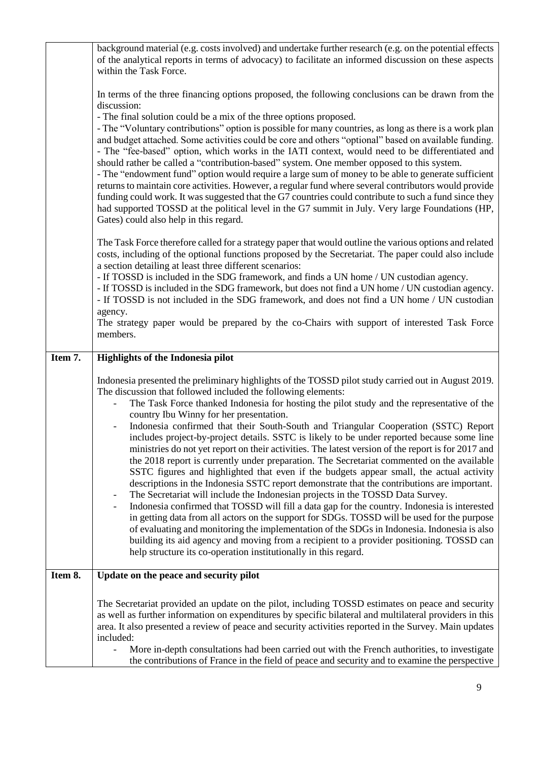|         | background material (e.g. costs involved) and undertake further research (e.g. on the potential effects<br>of the analytical reports in terms of advocacy) to facilitate an informed discussion on these aspects<br>within the Task Force.                                                                                                                                                                                                                                                                                                                                                                                                                                                                                                                                                                                                                                                                                                                                                                                                                                                                                                                                                                                                                                                                                                                                                                                                                                      |
|---------|---------------------------------------------------------------------------------------------------------------------------------------------------------------------------------------------------------------------------------------------------------------------------------------------------------------------------------------------------------------------------------------------------------------------------------------------------------------------------------------------------------------------------------------------------------------------------------------------------------------------------------------------------------------------------------------------------------------------------------------------------------------------------------------------------------------------------------------------------------------------------------------------------------------------------------------------------------------------------------------------------------------------------------------------------------------------------------------------------------------------------------------------------------------------------------------------------------------------------------------------------------------------------------------------------------------------------------------------------------------------------------------------------------------------------------------------------------------------------------|
|         | In terms of the three financing options proposed, the following conclusions can be drawn from the<br>discussion:                                                                                                                                                                                                                                                                                                                                                                                                                                                                                                                                                                                                                                                                                                                                                                                                                                                                                                                                                                                                                                                                                                                                                                                                                                                                                                                                                                |
|         | - The final solution could be a mix of the three options proposed.<br>- The "Voluntary contributions" option is possible for many countries, as long as there is a work plan<br>and budget attached. Some activities could be core and others "optional" based on available funding.<br>- The "fee-based" option, which works in the IATI context, would need to be differentiated and<br>should rather be called a "contribution-based" system. One member opposed to this system.<br>- The "endowment fund" option would require a large sum of money to be able to generate sufficient<br>returns to maintain core activities. However, a regular fund where several contributors would provide<br>funding could work. It was suggested that the G7 countries could contribute to such a fund since they<br>had supported TOSSD at the political level in the G7 summit in July. Very large Foundations (HP,<br>Gates) could also help in this regard.                                                                                                                                                                                                                                                                                                                                                                                                                                                                                                                       |
|         | The Task Force therefore called for a strategy paper that would outline the various options and related<br>costs, including of the optional functions proposed by the Secretariat. The paper could also include<br>a section detailing at least three different scenarios:<br>- If TOSSD is included in the SDG framework, and finds a UN home / UN custodian agency.<br>- If TOSSD is included in the SDG framework, but does not find a UN home / UN custodian agency.<br>- If TOSSD is not included in the SDG framework, and does not find a UN home / UN custodian<br>agency.<br>The strategy paper would be prepared by the co-Chairs with support of interested Task Force<br>members.                                                                                                                                                                                                                                                                                                                                                                                                                                                                                                                                                                                                                                                                                                                                                                                   |
| Item 7. |                                                                                                                                                                                                                                                                                                                                                                                                                                                                                                                                                                                                                                                                                                                                                                                                                                                                                                                                                                                                                                                                                                                                                                                                                                                                                                                                                                                                                                                                                 |
|         | <b>Highlights of the Indonesia pilot</b>                                                                                                                                                                                                                                                                                                                                                                                                                                                                                                                                                                                                                                                                                                                                                                                                                                                                                                                                                                                                                                                                                                                                                                                                                                                                                                                                                                                                                                        |
|         | Indonesia presented the preliminary highlights of the TOSSD pilot study carried out in August 2019.<br>The discussion that followed included the following elements:<br>The Task Force thanked Indonesia for hosting the pilot study and the representative of the<br>country Ibu Winny for her presentation.<br>Indonesia confirmed that their South-South and Triangular Cooperation (SSTC) Report<br>includes project-by-project details. SSTC is likely to be under reported because some line<br>ministries do not yet report on their activities. The latest version of the report is for 2017 and<br>the 2018 report is currently under preparation. The Secretariat commented on the available<br>SSTC figures and highlighted that even if the budgets appear small, the actual activity<br>descriptions in the Indonesia SSTC report demonstrate that the contributions are important.<br>The Secretariat will include the Indonesian projects in the TOSSD Data Survey.<br>Indonesia confirmed that TOSSD will fill a data gap for the country. Indonesia is interested<br>$\qquad \qquad \blacksquare$<br>in getting data from all actors on the support for SDGs. TOSSD will be used for the purpose<br>of evaluating and monitoring the implementation of the SDGs in Indonesia. Indonesia is also<br>building its aid agency and moving from a recipient to a provider positioning. TOSSD can<br>help structure its co-operation institutionally in this regard. |
| Item 8. | Update on the peace and security pilot                                                                                                                                                                                                                                                                                                                                                                                                                                                                                                                                                                                                                                                                                                                                                                                                                                                                                                                                                                                                                                                                                                                                                                                                                                                                                                                                                                                                                                          |
|         | The Secretariat provided an update on the pilot, including TOSSD estimates on peace and security<br>as well as further information on expenditures by specific bilateral and multilateral providers in this<br>area. It also presented a review of peace and security activities reported in the Survey. Main updates<br>included:<br>More in-depth consultations had been carried out with the French authorities, to investigate                                                                                                                                                                                                                                                                                                                                                                                                                                                                                                                                                                                                                                                                                                                                                                                                                                                                                                                                                                                                                                              |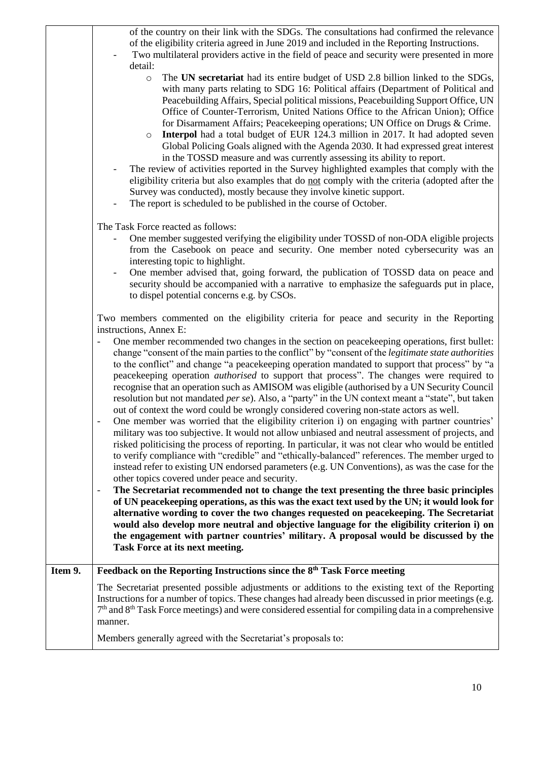|         | of the country on their link with the SDGs. The consultations had confirmed the relevance<br>of the eligibility criteria agreed in June 2019 and included in the Reporting Instructions.<br>Two multilateral providers active in the field of peace and security were presented in more<br>detail:<br>The UN secretariat had its entire budget of USD 2.8 billion linked to the SDGs,<br>$\circ$<br>with many parts relating to SDG 16: Political affairs (Department of Political and<br>Peacebuilding Affairs, Special political missions, Peacebuilding Support Office, UN<br>Office of Counter-Terrorism, United Nations Office to the African Union); Office<br>for Disarmament Affairs; Peacekeeping operations; UN Office on Drugs & Crime.<br>Interpol had a total budget of EUR 124.3 million in 2017. It had adopted seven<br>$\circ$<br>Global Policing Goals aligned with the Agenda 2030. It had expressed great interest<br>in the TOSSD measure and was currently assessing its ability to report.<br>The review of activities reported in the Survey highlighted examples that comply with the<br>$\qquad \qquad \blacksquare$<br>eligibility criteria but also examples that do not comply with the criteria (adopted after the<br>Survey was conducted), mostly because they involve kinetic support.<br>The report is scheduled to be published in the course of October.                                                                                                                                                                                                                                                                                                                                                                                                                                                          |
|---------|-------------------------------------------------------------------------------------------------------------------------------------------------------------------------------------------------------------------------------------------------------------------------------------------------------------------------------------------------------------------------------------------------------------------------------------------------------------------------------------------------------------------------------------------------------------------------------------------------------------------------------------------------------------------------------------------------------------------------------------------------------------------------------------------------------------------------------------------------------------------------------------------------------------------------------------------------------------------------------------------------------------------------------------------------------------------------------------------------------------------------------------------------------------------------------------------------------------------------------------------------------------------------------------------------------------------------------------------------------------------------------------------------------------------------------------------------------------------------------------------------------------------------------------------------------------------------------------------------------------------------------------------------------------------------------------------------------------------------------------------------------------------------------------------------------------------------------------------------------|
|         |                                                                                                                                                                                                                                                                                                                                                                                                                                                                                                                                                                                                                                                                                                                                                                                                                                                                                                                                                                                                                                                                                                                                                                                                                                                                                                                                                                                                                                                                                                                                                                                                                                                                                                                                                                                                                                                       |
|         | The Task Force reacted as follows:<br>One member suggested verifying the eligibility under TOSSD of non-ODA eligible projects<br>from the Casebook on peace and security. One member noted cybersecurity was an<br>interesting topic to highlight.<br>One member advised that, going forward, the publication of TOSSD data on peace and<br>$\overline{\phantom{a}}$<br>security should be accompanied with a narrative to emphasize the safeguards put in place,<br>to dispel potential concerns e.g. by CSOs.                                                                                                                                                                                                                                                                                                                                                                                                                                                                                                                                                                                                                                                                                                                                                                                                                                                                                                                                                                                                                                                                                                                                                                                                                                                                                                                                       |
|         | Two members commented on the eligibility criteria for peace and security in the Reporting                                                                                                                                                                                                                                                                                                                                                                                                                                                                                                                                                                                                                                                                                                                                                                                                                                                                                                                                                                                                                                                                                                                                                                                                                                                                                                                                                                                                                                                                                                                                                                                                                                                                                                                                                             |
|         | instructions, Annex E:<br>One member recommended two changes in the section on peacekeeping operations, first bullet:<br>change "consent of the main parties to the conflict" by "consent of the legitimate state authorities<br>to the conflict" and change "a peacekeeping operation mandated to support that process" by "a<br>peacekeeping operation <i>authorised</i> to support that process". The changes were required to<br>recognise that an operation such as AMISOM was eligible (authorised by a UN Security Council<br>resolution but not mandated <i>per se</i> ). Also, a "party" in the UN context meant a "state", but taken<br>out of context the word could be wrongly considered covering non-state actors as well.<br>One member was worried that the eligibility criterion i) on engaging with partner countries'<br>military was too subjective. It would not allow unbiased and neutral assessment of projects, and<br>risked politicising the process of reporting. In particular, it was not clear who would be entitled<br>to verify compliance with "credible" and "ethically-balanced" references. The member urged to<br>instead refer to existing UN endorsed parameters (e.g. UN Conventions), as was the case for the<br>other topics covered under peace and security.<br>The Secretariat recommended not to change the text presenting the three basic principles<br>$\overline{\phantom{a}}$<br>of UN peacekeeping operations, as this was the exact text used by the UN; it would look for<br>alternative wording to cover the two changes requested on peacekeeping. The Secretariat<br>would also develop more neutral and objective language for the eligibility criterion i) on<br>the engagement with partner countries' military. A proposal would be discussed by the<br>Task Force at its next meeting. |
| Item 9. | Feedback on the Reporting Instructions since the 8 <sup>th</sup> Task Force meeting                                                                                                                                                                                                                                                                                                                                                                                                                                                                                                                                                                                                                                                                                                                                                                                                                                                                                                                                                                                                                                                                                                                                                                                                                                                                                                                                                                                                                                                                                                                                                                                                                                                                                                                                                                   |
|         | The Secretariat presented possible adjustments or additions to the existing text of the Reporting<br>Instructions for a number of topics. These changes had already been discussed in prior meetings (e.g.<br>$7th$ and $8th$ Task Force meetings) and were considered essential for compiling data in a comprehensive<br>manner.                                                                                                                                                                                                                                                                                                                                                                                                                                                                                                                                                                                                                                                                                                                                                                                                                                                                                                                                                                                                                                                                                                                                                                                                                                                                                                                                                                                                                                                                                                                     |
|         | Members generally agreed with the Secretariat's proposals to:                                                                                                                                                                                                                                                                                                                                                                                                                                                                                                                                                                                                                                                                                                                                                                                                                                                                                                                                                                                                                                                                                                                                                                                                                                                                                                                                                                                                                                                                                                                                                                                                                                                                                                                                                                                         |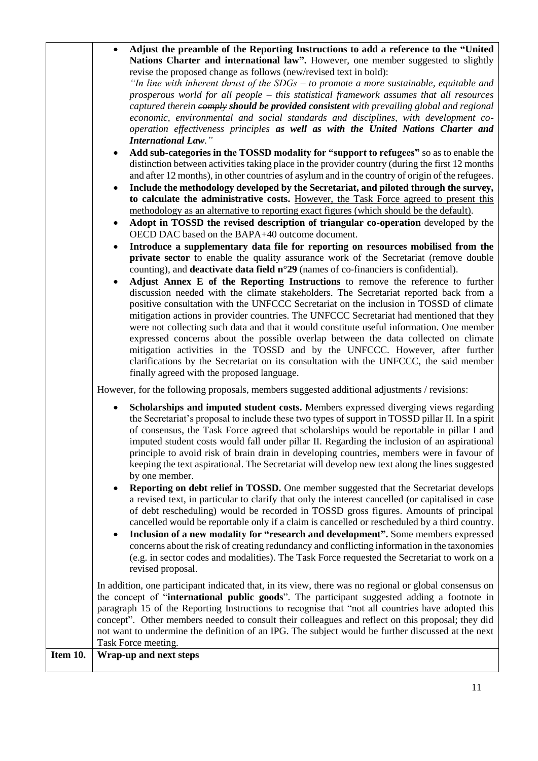|          | Adjust the preamble of the Reporting Instructions to add a reference to the "United"<br>Nations Charter and international law". However, one member suggested to slightly<br>revise the proposed change as follows (new/revised text in bold):<br>"In line with inherent thrust of the $SDGs - to$ promote a more sustainable, equitable and<br>prosperous world for all people – this statistical framework assumes that all resources<br>captured therein eomply should be provided consistent with prevailing global and regional<br>economic, environmental and social standards and disciplines, with development co-<br>operation effectiveness principles as well as with the United Nations Charter and<br><b>International Law."</b><br>Add sub-categories in the TOSSD modality for "support to refugees" so as to enable the<br>$\bullet$<br>distinction between activities taking place in the provider country (during the first 12 months<br>and after 12 months), in other countries of asylum and in the country of origin of the refugees.<br>Include the methodology developed by the Secretariat, and piloted through the survey,<br>$\bullet$<br>to calculate the administrative costs. However, the Task Force agreed to present this<br>methodology as an alternative to reporting exact figures (which should be the default).<br>Adopt in TOSSD the revised description of triangular co-operation developed by the<br>$\bullet$<br>OECD DAC based on the BAPA+40 outcome document. |
|----------|-------------------------------------------------------------------------------------------------------------------------------------------------------------------------------------------------------------------------------------------------------------------------------------------------------------------------------------------------------------------------------------------------------------------------------------------------------------------------------------------------------------------------------------------------------------------------------------------------------------------------------------------------------------------------------------------------------------------------------------------------------------------------------------------------------------------------------------------------------------------------------------------------------------------------------------------------------------------------------------------------------------------------------------------------------------------------------------------------------------------------------------------------------------------------------------------------------------------------------------------------------------------------------------------------------------------------------------------------------------------------------------------------------------------------------------------------------------------------------------------------------------|
|          | Introduce a supplementary data file for reporting on resources mobilised from the<br>private sector to enable the quality assurance work of the Secretariat (remove double<br>counting), and <b>deactivate data field <math>n^{\circ}29</math></b> (names of co-financiers is confidential).<br>Adjust Annex E of the Reporting Instructions to remove the reference to further<br>$\bullet$<br>discussion needed with the climate stakeholders. The Secretariat reported back from a<br>positive consultation with the UNFCCC Secretariat on the inclusion in TOSSD of climate<br>mitigation actions in provider countries. The UNFCCC Secretariat had mentioned that they<br>were not collecting such data and that it would constitute useful information. One member<br>expressed concerns about the possible overlap between the data collected on climate<br>mitigation activities in the TOSSD and by the UNFCCC. However, after further<br>clarifications by the Secretariat on its consultation with the UNFCCC, the said member<br>finally agreed with the proposed language.                                                                                                                                                                                                                                                                                                                                                                                                                     |
|          | However, for the following proposals, members suggested additional adjustments / revisions:<br>Scholarships and imputed student costs. Members expressed diverging views regarding<br>$\bullet$<br>the Secretariat's proposal to include these two types of support in TOSSD pillar II. In a spirit<br>of consensus, the Task Force agreed that scholarships would be reportable in pillar I and<br>imputed student costs would fall under pillar II. Regarding the inclusion of an aspirational<br>principle to avoid risk of brain drain in developing countries, members were in favour of<br>keeping the text aspirational. The Secretariat will develop new text along the lines suggested<br>by one member.<br><b>Reporting on debt relief in TOSSD.</b> One member suggested that the Secretariat develops<br>$\bullet$<br>a revised text, in particular to clarify that only the interest cancelled (or capitalised in case<br>of debt rescheduling) would be recorded in TOSSD gross figures. Amounts of principal<br>cancelled would be reportable only if a claim is cancelled or rescheduled by a third country.<br>Inclusion of a new modality for "research and development". Some members expressed<br>$\bullet$<br>concerns about the risk of creating redundancy and conflicting information in the taxonomies<br>(e.g. in sector codes and modalities). The Task Force requested the Secretariat to work on a<br>revised proposal.                                                        |
| Item 10. | In addition, one participant indicated that, in its view, there was no regional or global consensus on<br>the concept of "international public goods". The participant suggested adding a footnote in<br>paragraph 15 of the Reporting Instructions to recognise that "not all countries have adopted this<br>concept". Other members needed to consult their colleagues and reflect on this proposal; they did<br>not want to undermine the definition of an IPG. The subject would be further discussed at the next<br>Task Force meeting.<br>Wrap-up and next steps                                                                                                                                                                                                                                                                                                                                                                                                                                                                                                                                                                                                                                                                                                                                                                                                                                                                                                                                      |